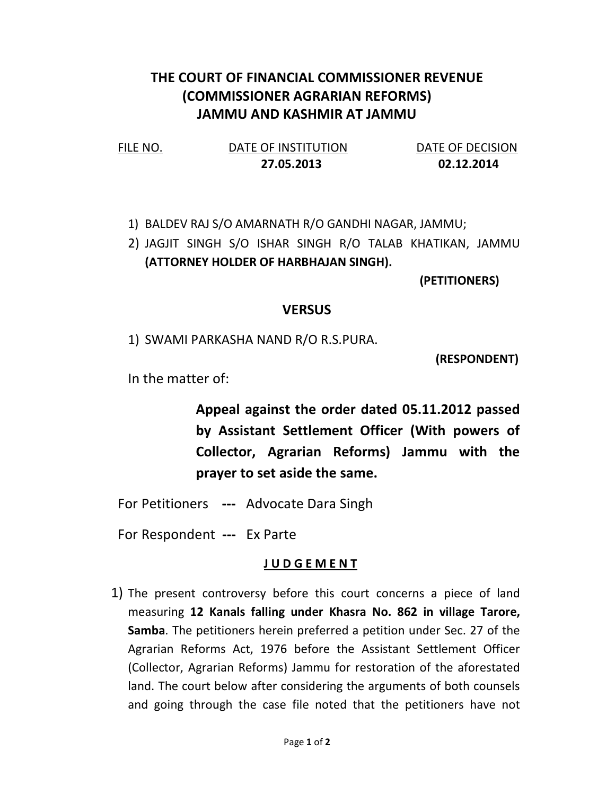## THE COURT OF FINANCIAL COMMISSIONER REVENUE (COMMISSIONER AGRARIAN REFORMS) JAMMU AND KASHMIR AT JAMMU

| FILE NO. | DATE OF INSTITUTION | DATE OF DECISION |
|----------|---------------------|------------------|
|          | 27.05.2013          | 02.12.2014       |

1) BALDEV RAJ S/O AMARNATH R/O GANDHI NAGAR, JAMMU;

2) JAGJIT SINGH S/O ISHAR SINGH R/O TALAB KHATIKAN, JAMMU (ATTORNEY HOLDER OF HARBHAJAN SINGH).

(PETITIONERS)

## **VERSUS**

1) SWAMI PARKASHA NAND R/O R.S.PURA.

(RESPONDENT)

In the matter of:

Appeal against the order dated 05.11.2012 passed by Assistant Settlement Officer (With powers of Collector, Agrarian Reforms) Jammu with the prayer to set aside the same.

For Petitioners --- Advocate Dara Singh

For Respondent --- Ex Parte

## J U D G E M E N T

1) The present controversy before this court concerns a piece of land measuring 12 Kanals falling under Khasra No. 862 in village Tarore, Samba. The petitioners herein preferred a petition under Sec. 27 of the Agrarian Reforms Act, 1976 before the Assistant Settlement Officer (Collector, Agrarian Reforms) Jammu for restoration of the aforestated land. The court below after considering the arguments of both counsels and going through the case file noted that the petitioners have not